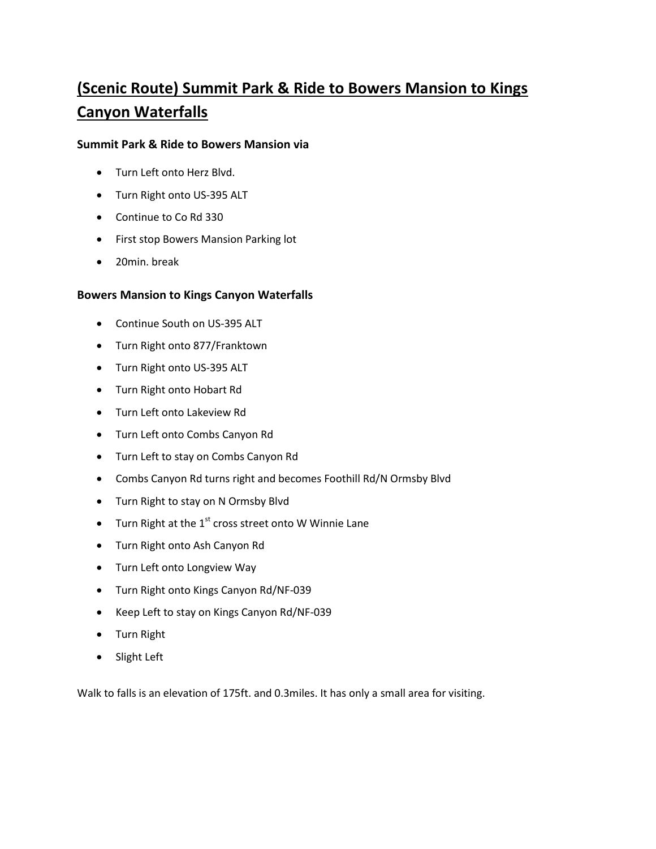## **(Scenic Route) Summit Park & Ride to Bowers Mansion to Kings Canyon Waterfalls**

## **Summit Park & Ride to Bowers Mansion via**

- Turn Left onto Herz Blvd.
- Turn Right onto US-395 ALT
- Continue to Co Rd 330
- First stop Bowers Mansion Parking lot
- 20min. break

## **Bowers Mansion to Kings Canyon Waterfalls**

- Continue South on US-395 ALT
- Turn Right onto 877/Franktown
- Turn Right onto US-395 ALT
- Turn Right onto Hobart Rd
- Turn Left onto Lakeview Rd
- Turn Left onto Combs Canyon Rd
- Turn Left to stay on Combs Canyon Rd
- Combs Canyon Rd turns right and becomes Foothill Rd/N Ormsby Blvd
- Turn Right to stay on N Ormsby Blvd
- $\bullet$  Turn Right at the 1<sup>st</sup> cross street onto W Winnie Lane
- Turn Right onto Ash Canyon Rd
- Turn Left onto Longview Way
- Turn Right onto Kings Canyon Rd/NF-039
- Keep Left to stay on Kings Canyon Rd/NF-039
- Turn Right
- Slight Left

Walk to falls is an elevation of 175ft. and 0.3miles. It has only a small area for visiting.